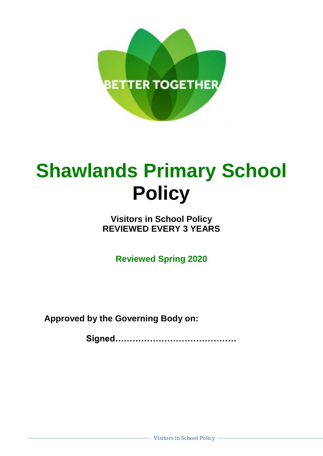

# **Shawlands Primary School Policy**

## **Visitors in School Policy REVIEWED EVERY 3 YEARS**

**Reviewed Spring 2020**

**Approved by the Governing Body on:**

**Signed……………………………………**